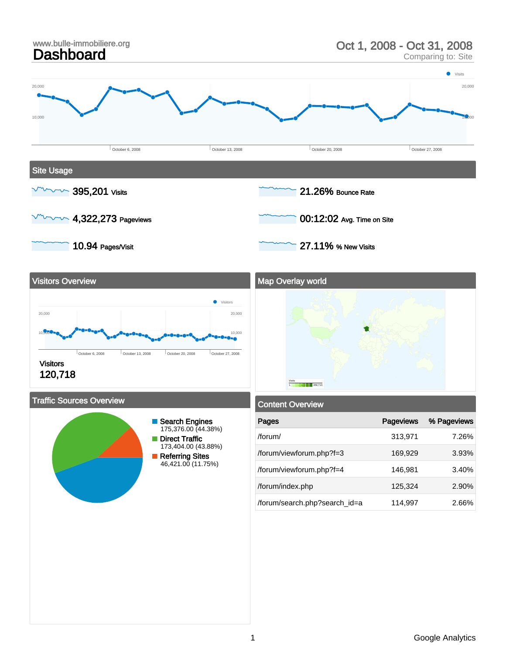





#### Traffic Sources Overview



| <b>Content Overview</b>       |                  |             |  |  |  |
|-------------------------------|------------------|-------------|--|--|--|
| Pages                         | <b>Pageviews</b> | % Pageviews |  |  |  |
| $/$ forum $/$                 | 313,971          | 7.26%       |  |  |  |
| /forum/viewforum.php?f=3      | 169,929          | 3.93%       |  |  |  |
| /forum/viewforum.php?f=4      | 146,981          | 3.40%       |  |  |  |
| /forum/index.php              | 125,324          | 2.90%       |  |  |  |
| /forum/search.php?search_id=a | 114,997          | 2.66%       |  |  |  |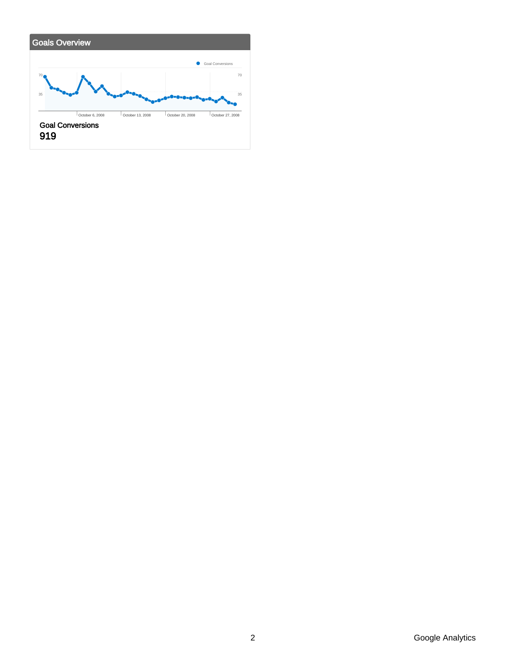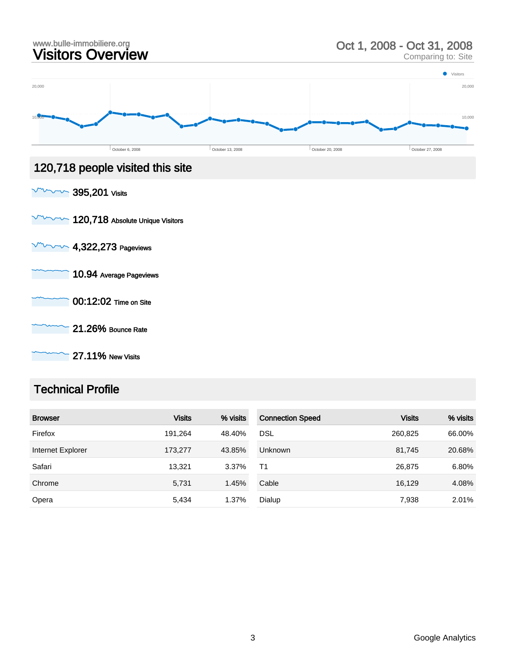

#### Technical Profile

| <b>Browser</b>    | <b>Visits</b> | % visits | <b>Connection Speed</b> | <b>Visits</b> | % visits |
|-------------------|---------------|----------|-------------------------|---------------|----------|
| Firefox           | 191.264       | 48.40%   | <b>DSL</b>              | 260,825       | 66.00%   |
| Internet Explorer | 173,277       | 43.85%   | <b>Unknown</b>          | 81,745        | 20.68%   |
| Safari            | 13.321        | 3.37%    | T <sub>1</sub>          | 26,875        | 6.80%    |
| Chrome            | 5,731         | 1.45%    | Cable                   | 16,129        | 4.08%    |
| Opera             | 5,434         | 1.37%    | Dialup                  | 7,938         | 2.01%    |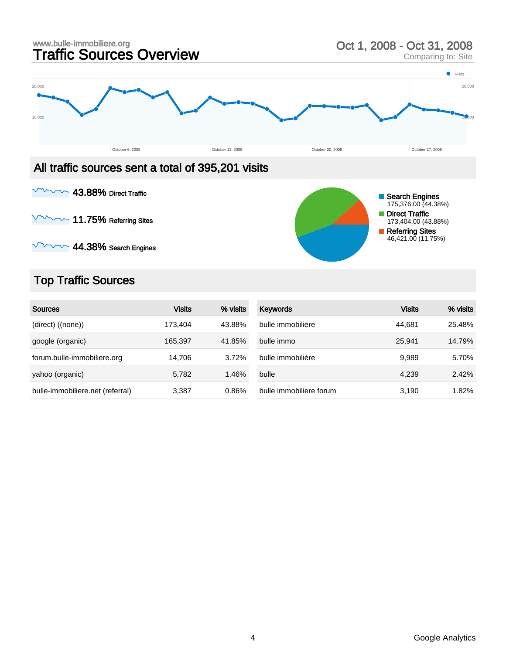

 $\sim$  43.88% Direct Traffic

 $\sim$  11.75% Referring Sites

 $\sim$  44.38% Search Engines

## Top Traffic Sources

| <b>Sources</b>                   | <b>Visits</b> | % visits | <b>Keywords</b>         | <b>Visits</b> | % visits |
|----------------------------------|---------------|----------|-------------------------|---------------|----------|
| (direct) ((none))                | 173.404       | 43.88%   | bulle immobiliere       | 44.681        | 25.48%   |
| google (organic)                 | 165,397       | 41.85%   | bulle immo              | 25.941        | 14.79%   |
| forum.bulle-immobiliere.org      | 14.706        | 3.72%    | bulle immobilière       | 9,989         | 5.70%    |
| yahoo (organic)                  | 5,782         | 1.46%    | bulle                   | 4,239         | 2.42%    |
| bulle-immobiliere.net (referral) | 3,387         | 0.86%    | bulle immobiliere forum | 3,190         | 1.82%    |

Search Engines 175,376.00 (44.38%) Direct Traffic 173,404.00 (43.88%) Referring Sites 46,421.00 (11.75%)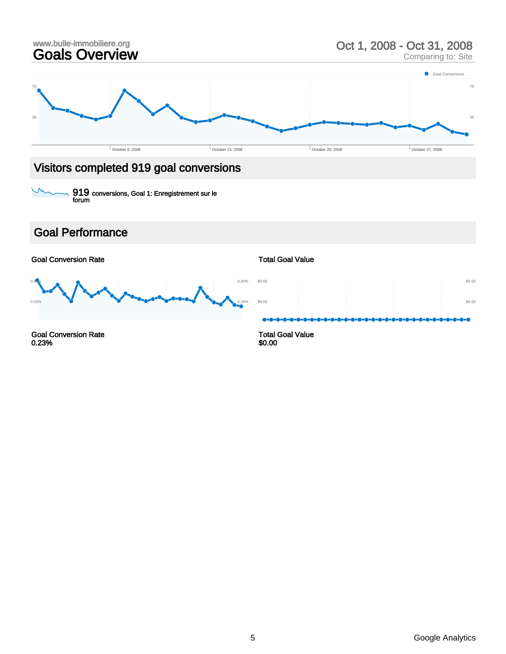

# Visitors completed 919 goal conversions

919 conversions, Goal 1: Enregistrement sur le forum

#### Goal Performance

 $\overline{\mathcal{U}}$ 

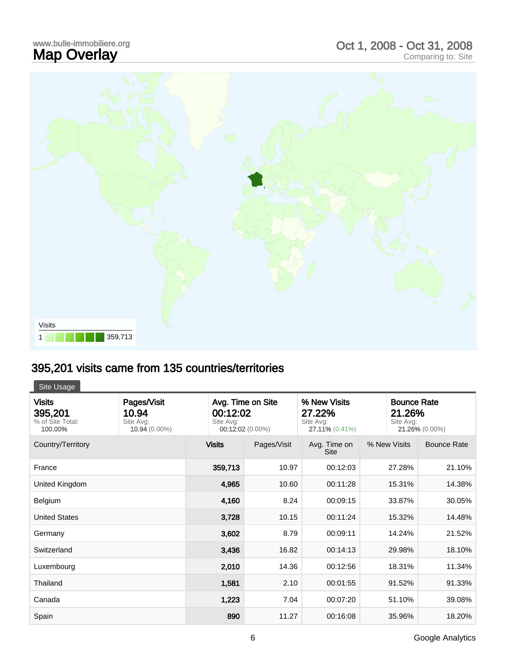## www.bulle-immobiliere.org<br>**Map Overlay** www.bulle-immobiliere.org<br> **Map Overlay** Comparing to: Site<br>
Comparing to: Site



# 395,201 visits came from 135 countries/territories

Site Usage

| <b>Visits</b><br>395,201<br>% of Site Total:<br>100.00% | Pages/Visit<br>10.94<br>Site Avg:<br>10.94 (0.00%) | Avg. Time on Site<br>00:12:02<br>Site Avg:<br>00:12:02 (0.00%) |             | % New Visits<br>27.22%<br>Site Avg:<br>27.11% (0.41%) | Site Avg:    | <b>Bounce Rate</b><br>21.26%<br>21.26% (0.00%) |  |
|---------------------------------------------------------|----------------------------------------------------|----------------------------------------------------------------|-------------|-------------------------------------------------------|--------------|------------------------------------------------|--|
| Country/Territory                                       |                                                    | <b>Visits</b>                                                  | Pages/Visit | Avg. Time on<br><b>Site</b>                           | % New Visits | <b>Bounce Rate</b>                             |  |
| France                                                  |                                                    | 359,713                                                        | 10.97       | 00:12:03                                              | 27.28%       | 21.10%                                         |  |
| United Kingdom                                          |                                                    | 4,965                                                          | 10.60       | 00:11:28                                              | 15.31%       | 14.38%                                         |  |
| Belgium                                                 |                                                    | 4,160                                                          | 8.24        | 00:09:15                                              | 33.87%       | 30.05%                                         |  |
| <b>United States</b>                                    |                                                    | 3,728                                                          | 10.15       | 00:11:24                                              | 15.32%       | 14.48%                                         |  |
| Germany                                                 |                                                    | 3,602                                                          | 8.79        | 00:09:11                                              | 14.24%       | 21.52%                                         |  |
| Switzerland                                             |                                                    | 3,436                                                          | 16.82       | 00:14:13                                              | 29.98%       | 18.10%                                         |  |
| Luxembourg                                              |                                                    | 2,010                                                          | 14.36       | 00:12:56                                              | 18.31%       | 11.34%                                         |  |
| Thailand                                                |                                                    | 1,581                                                          | 2.10        | 00:01:55                                              | 91.52%       | 91.33%                                         |  |
| Canada                                                  |                                                    | 1,223                                                          | 7.04        | 00:07:20                                              | 51.10%       | 39.08%                                         |  |
| Spain                                                   |                                                    | 890                                                            | 11.27       | 00:16:08                                              | 35.96%       | 18.20%                                         |  |